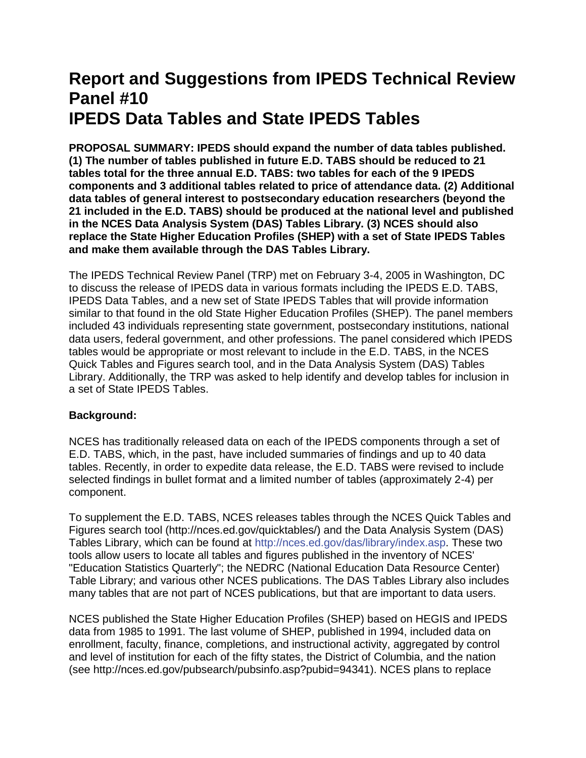# **Report and Suggestions from IPEDS Technical Review Panel #10 IPEDS Data Tables and State IPEDS Tables**

**PROPOSAL SUMMARY: IPEDS should expand the number of data tables published. (1) The number of tables published in future E.D. TABS should be reduced to 21 tables total for the three annual E.D. TABS: two tables for each of the 9 IPEDS components and 3 additional tables related to price of attendance data. (2) Additional data tables of general interest to postsecondary education researchers (beyond the 21 included in the E.D. TABS) should be produced at the national level and published in the NCES Data Analysis System (DAS) Tables Library. (3) NCES should also replace the State Higher Education Profiles (SHEP) with a set of State IPEDS Tables and make them available through the DAS Tables Library.**

The IPEDS Technical Review Panel (TRP) met on February 3-4, 2005 in Washington, DC to discuss the release of IPEDS data in various formats including the IPEDS E.D. TABS, IPEDS Data Tables, and a new set of State IPEDS Tables that will provide information similar to that found in the old State Higher Education Profiles (SHEP). The panel members included 43 individuals representing state government, postsecondary institutions, national data users, federal government, and other professions. The panel considered which IPEDS tables would be appropriate or most relevant to include in the E.D. TABS, in the NCES Quick Tables and Figures search tool, and in the Data Analysis System (DAS) Tables Library. Additionally, the TRP was asked to help identify and develop tables for inclusion in a set of State IPEDS Tables.

# **Background:**

NCES has traditionally released data on each of the IPEDS components through a set of E.D. TABS, which, in the past, have included summaries of findings and up to 40 data tables. Recently, in order to expedite data release, the E.D. TABS were revised to include selected findings in bullet format and a limited number of tables (approximately 2-4) per component.

To supplement the E.D. TABS, NCES releases tables through the NCES Quick Tables and Figures search tool (http://nces.ed.gov/quicktables/) and the Data Analysis System (DAS) Tables Library, which can be found at [http://nces.ed.gov/das/library/index.asp.](https://edsurveys.rti.org/das/library/) These two tools allow users to locate all tables and figures published in the inventory of NCES' "Education Statistics Quarterly"; the NEDRC (National Education Data Resource Center) Table Library; and various other NCES publications. The DAS Tables Library also includes many tables that are not part of NCES publications, but that are important to data users.

NCES published the State Higher Education Profiles (SHEP) based on HEGIS and IPEDS data from 1985 to 1991. The last volume of SHEP, published in 1994, included data on enrollment, faculty, finance, completions, and instructional activity, aggregated by control and level of institution for each of the fifty states, the District of Columbia, and the nation (see http://nces.ed.gov/pubsearch/pubsinfo.asp?pubid=94341). NCES plans to replace